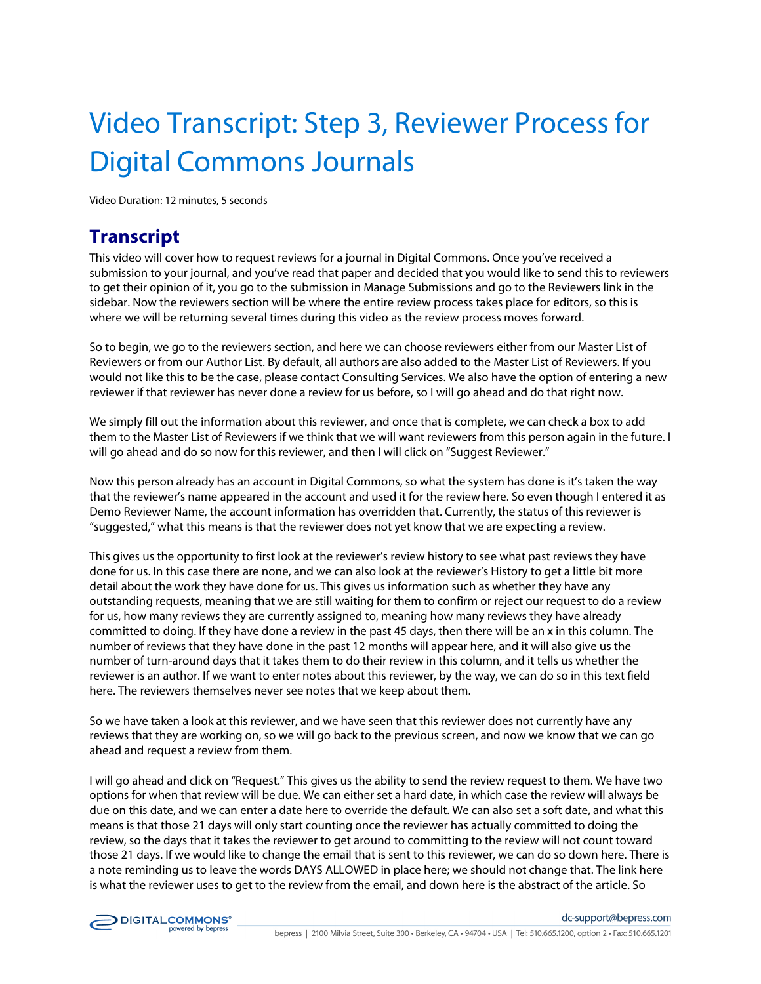## Video Transcript: Step 3, Reviewer Process for Digital Commons Journals

Video Duration: 12 minutes, 5 seconds

## **Transcript**

This video will cover how to request reviews for a journal in Digital Commons. Once you've received a submission to your journal, and you've read that paper and decided that you would like to send this to reviewers to get their opinion of it, you go to the submission in Manage Submissions and go to the Reviewers link in the sidebar. Now the reviewers section will be where the entire review process takes place for editors, so this is where we will be returning several times during this video as the review process moves forward.

So to begin, we go to the reviewers section, and here we can choose reviewers either from our Master List of Reviewers or from our Author List. By default, all authors are also added to the Master List of Reviewers. If you would not like this to be the case, please contact Consulting Services. We also have the option of entering a new reviewer if that reviewer has never done a review for us before, so I will go ahead and do that right now.

We simply fill out the information about this reviewer, and once that is complete, we can check a box to add them to the Master List of Reviewers if we think that we will want reviewers from this person again in the future. I will go ahead and do so now for this reviewer, and then I will click on "Suggest Reviewer."

Now this person already has an account in Digital Commons, so what the system has done is it's taken the way that the reviewer's name appeared in the account and used it for the review here. So even though I entered it as Demo Reviewer Name, the account information has overridden that. Currently, the status of this reviewer is "suggested," what this means is that the reviewer does not yet know that we are expecting a review.

This gives us the opportunity to first look at the reviewer's review history to see what past reviews they have done for us. In this case there are none, and we can also look at the reviewer's History to get a little bit more detail about the work they have done for us. This gives us information such as whether they have any outstanding requests, meaning that we are still waiting for them to confirm or reject our request to do a review for us, how many reviews they are currently assigned to, meaning how many reviews they have already committed to doing. If they have done a review in the past 45 days, then there will be an x in this column. The number of reviews that they have done in the past 12 months will appear here, and it will also give us the number of turn-around days that it takes them to do their review in this column, and it tells us whether the reviewer is an author. If we want to enter notes about this reviewer, by the way, we can do so in this text field here. The reviewers themselves never see notes that we keep about them.

So we have taken a look at this reviewer, and we have seen that this reviewer does not currently have any reviews that they are working on, so we will go back to the previous screen, and now we know that we can go ahead and request a review from them.

I will go ahead and click on "Request." This gives us the ability to send the review request to them. We have two options for when that review will be due. We can either set a hard date, in which case the review will always be due on this date, and we can enter a date here to override the default. We can also set a soft date, and what this means is that those 21 days will only start counting once the reviewer has actually committed to doing the review, so the days that it takes the reviewer to get around to committing to the review will not count toward those 21 days. If we would like to change the email that is sent to this reviewer, we can do so down here. There is a note reminding us to leave the words DAYS ALLOWED in place here; we should not change that. The link here is what the reviewer uses to get to the review from the email, and down here is the abstract of the article. So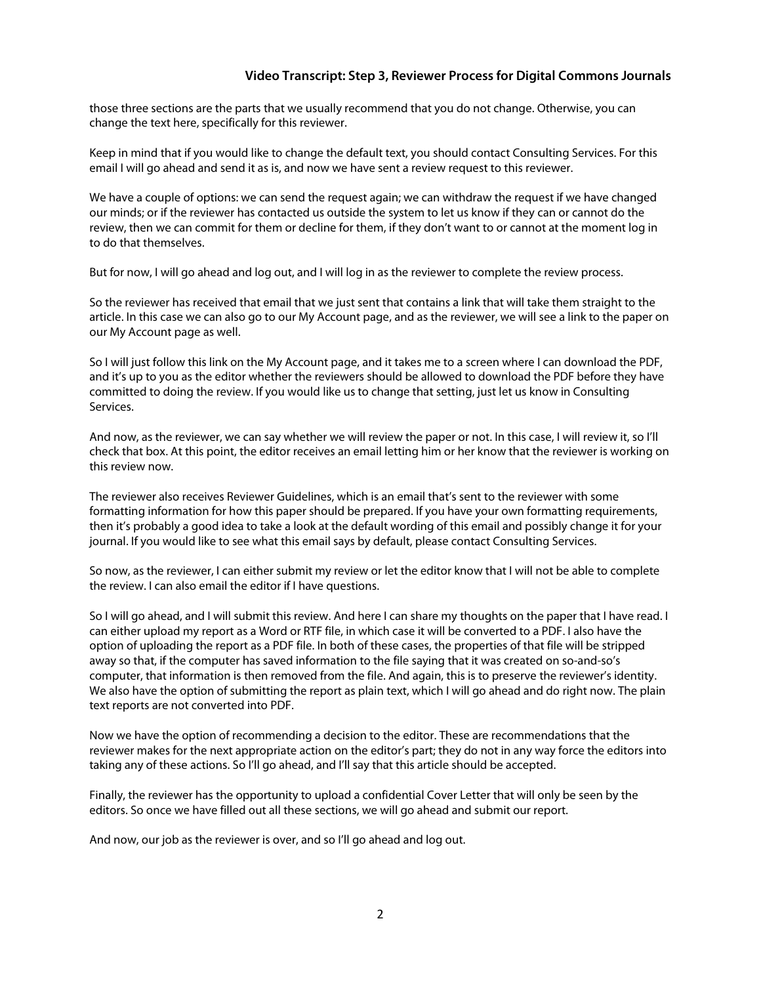## **Video Transcript: Step 3, Reviewer Process for Digital Commons Journals**

those three sections are the parts that we usually recommend that you do not change. Otherwise, you can change the text here, specifically for this reviewer.

Keep in mind that if you would like to change the default text, you should contact Consulting Services. For this email I will go ahead and send it as is, and now we have sent a review request to this reviewer.

We have a couple of options: we can send the request again; we can withdraw the request if we have changed our minds; or if the reviewer has contacted us outside the system to let us know if they can or cannot do the review, then we can commit for them or decline for them, if they don't want to or cannot at the moment log in to do that themselves.

But for now, I will go ahead and log out, and I will log in as the reviewer to complete the review process.

So the reviewer has received that email that we just sent that contains a link that will take them straight to the article. In this case we can also go to our My Account page, and as the reviewer, we will see a link to the paper on our My Account page as well.

So I will just follow this link on the My Account page, and it takes me to a screen where I can download the PDF, and it's up to you as the editor whether the reviewers should be allowed to download the PDF before they have committed to doing the review. If you would like us to change that setting, just let us know in Consulting Services.

And now, as the reviewer, we can say whether we will review the paper or not. In this case, I will review it, so I'll check that box. At this point, the editor receives an email letting him or her know that the reviewer is working on this review now.

The reviewer also receives Reviewer Guidelines, which is an email that's sent to the reviewer with some formatting information for how this paper should be prepared. If you have your own formatting requirements, then it's probably a good idea to take a look at the default wording of this email and possibly change it for your journal. If you would like to see what this email says by default, please contact Consulting Services.

So now, as the reviewer, I can either submit my review or let the editor know that I will not be able to complete the review. I can also email the editor if I have questions.

So I will go ahead, and I will submit this review. And here I can share my thoughts on the paper that I have read. I can either upload my report as a Word or RTF file, in which case it will be converted to a PDF. I also have the option of uploading the report as a PDF file. In both of these cases, the properties of that file will be stripped away so that, if the computer has saved information to the file saying that it was created on so-and-so's computer, that information is then removed from the file. And again, this is to preserve the reviewer's identity. We also have the option of submitting the report as plain text, which I will go ahead and do right now. The plain text reports are not converted into PDF.

Now we have the option of recommending a decision to the editor. These are recommendations that the reviewer makes for the next appropriate action on the editor's part; they do not in any way force the editors into taking any of these actions. So I'll go ahead, and I'll say that this article should be accepted.

Finally, the reviewer has the opportunity to upload a confidential Cover Letter that will only be seen by the editors. So once we have filled out all these sections, we will go ahead and submit our report.

And now, our job as the reviewer is over, and so I'll go ahead and log out.